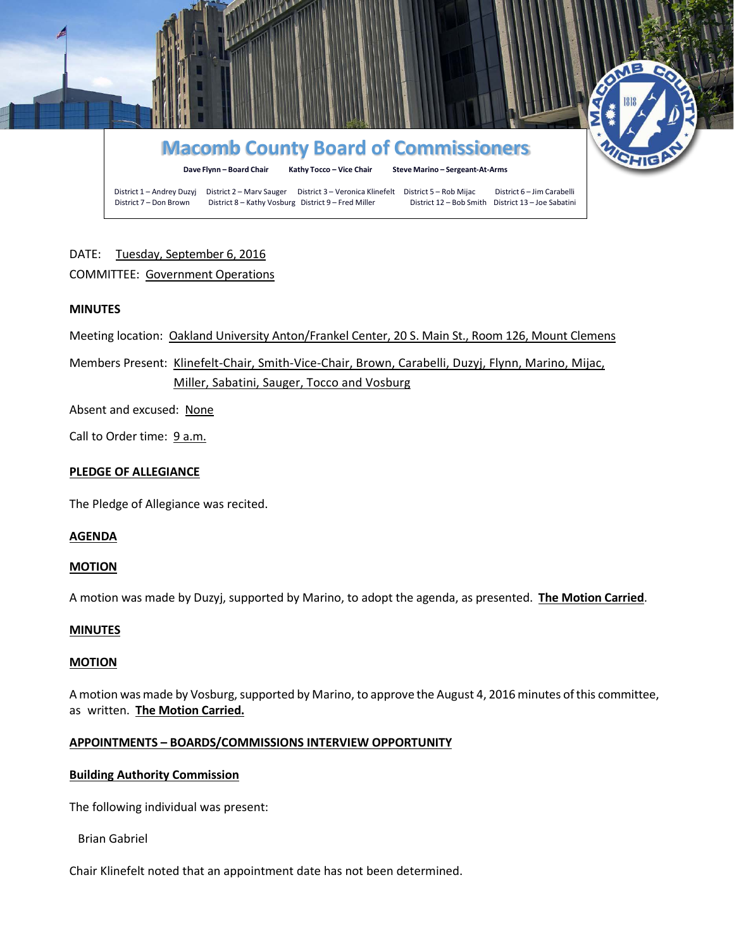

# DATE: Tuesday, September 6, 2016

## COMMITTEE: Government Operations

## **MINUTES**

Meeting location: Oakland University Anton/Frankel Center, 20 S. Main St., Room 126, Mount Clemens

Members Present: Klinefelt-Chair, Smith-Vice-Chair, Brown, Carabelli, Duzyj, Flynn, Marino, Mijac, Miller, Sabatini, Sauger, Tocco and Vosburg

Absent and excused: None

Call to Order time: 9 a.m.

### **PLEDGE OF ALLEGIANCE**

The Pledge of Allegiance was recited.

## **AGENDA**

### **MOTION**

A motion was made by Duzyj, supported by Marino, to adopt the agenda, as presented. **The Motion Carried**.

### **MINUTES**

### **MOTION**

A motion was made by Vosburg, supported by Marino, to approve the August 4, 2016 minutes of this committee, as written. **The Motion Carried.**

### **APPOINTMENTS – BOARDS/COMMISSIONS INTERVIEW OPPORTUNITY**

## **Building Authority Commission**

The following individual was present:

Brian Gabriel

Chair Klinefelt noted that an appointment date has not been determined.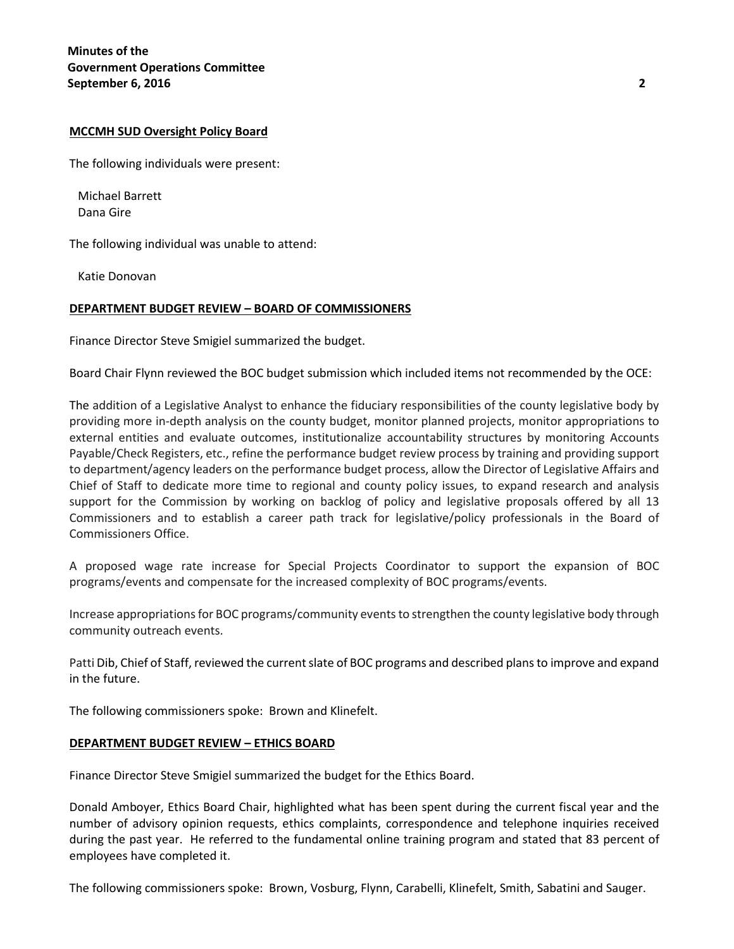#### **MCCMH SUD Oversight Policy Board**

The following individuals were present:

Michael Barrett Dana Gire

The following individual was unable to attend:

Katie Donovan

#### **DEPARTMENT BUDGET REVIEW – BOARD OF COMMISSIONERS**

Finance Director Steve Smigiel summarized the budget.

Board Chair Flynn reviewed the BOC budget submission which included items not recommended by the OCE:

The addition of a Legislative Analyst to enhance the fiduciary responsibilities of the county legislative body by providing more in-depth analysis on the county budget, monitor planned projects, monitor appropriations to external entities and evaluate outcomes, institutionalize accountability structures by monitoring Accounts Payable/Check Registers, etc., refine the performance budget review process by training and providing support to department/agency leaders on the performance budget process, allow the Director of Legislative Affairs and Chief of Staff to dedicate more time to regional and county policy issues, to expand research and analysis support for the Commission by working on backlog of policy and legislative proposals offered by all 13 Commissioners and to establish a career path track for legislative/policy professionals in the Board of Commissioners Office.

A proposed wage rate increase for Special Projects Coordinator to support the expansion of BOC programs/events and compensate for the increased complexity of BOC programs/events.

Increase appropriations for BOC programs/community events to strengthen the county legislative body through community outreach events.

Patti Dib, Chief of Staff, reviewed the current slate of BOC programs and described plans to improve and expand in the future.

The following commissioners spoke: Brown and Klinefelt.

#### **DEPARTMENT BUDGET REVIEW – ETHICS BOARD**

Finance Director Steve Smigiel summarized the budget for the Ethics Board.

Donald Amboyer, Ethics Board Chair, highlighted what has been spent during the current fiscal year and the number of advisory opinion requests, ethics complaints, correspondence and telephone inquiries received during the past year. He referred to the fundamental online training program and stated that 83 percent of employees have completed it.

The following commissioners spoke: Brown, Vosburg, Flynn, Carabelli, Klinefelt, Smith, Sabatini and Sauger.